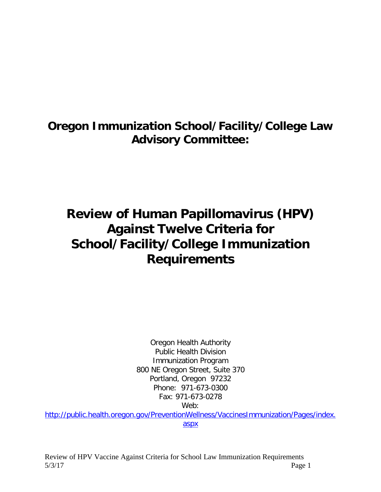## **Oregon Immunization School/Facility/College Law Advisory Committee:**

# **Review of Human Papillomavirus (HPV) Against Twelve Criteria for School/Facility/College Immunization Requirements**

Oregon Health Authority Public Health Division Immunization Program 800 NE Oregon Street, Suite 370 Portland, Oregon 97232 Phone: 971-673-0300 Fax: 971-673-0278 Web:

[http://public.health.oregon.gov/PreventionWellness/VaccinesImmunization/Pages/index.](http://public.health.oregon.gov/PreventionWellness/VaccinesImmunization/Pages/index.aspx) [aspx](http://public.health.oregon.gov/PreventionWellness/VaccinesImmunization/Pages/index.aspx)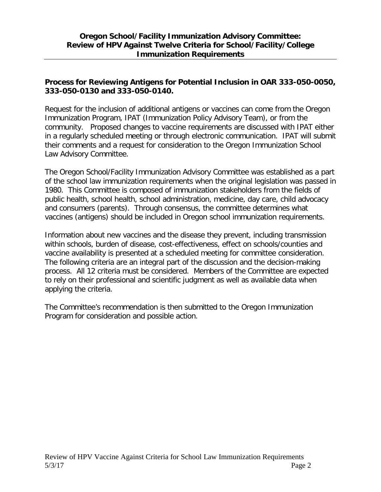#### **Process for Reviewing Antigens for Potential Inclusion in OAR 333-050-0050, 333-050-0130 and 333-050-0140.**

Request for the inclusion of additional antigens or vaccines can come from the Oregon Immunization Program, IPAT (Immunization Policy Advisory Team), or from the community. Proposed changes to vaccine requirements are discussed with IPAT either in a regularly scheduled meeting or through electronic communication. IPAT will submit their comments and a request for consideration to the Oregon Immunization School Law Advisory Committee.

The Oregon School/Facility Immunization Advisory Committee was established as a part of the school law immunization requirements when the original legislation was passed in 1980. This Committee is composed of immunization stakeholders from the fields of public health, school health, school administration, medicine, day care, child advocacy and consumers (parents). Through consensus, the committee determines what vaccines (antigens) should be included in Oregon school immunization requirements.

Information about new vaccines and the disease they prevent, including transmission within schools, burden of disease, cost-effectiveness, effect on schools/counties and vaccine availability is presented at a scheduled meeting for committee consideration. The following criteria are an integral part of the discussion and the decision-making process. All 12 criteria must be considered. Members of the Committee are expected to rely on their professional and scientific judgment as well as available data when applying the criteria.

The Committee's recommendation is then submitted to the Oregon Immunization Program for consideration and possible action.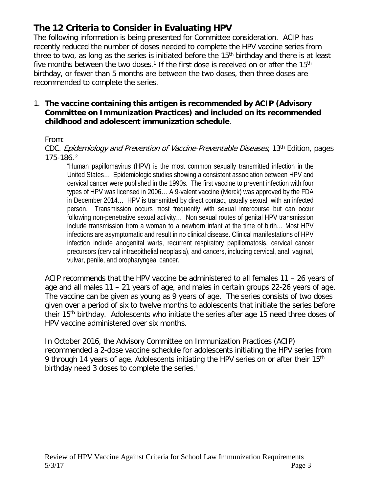### **The 12 Criteria to Consider in Evaluating HPV**

The following information is being presented for Committee consideration. ACIP has recently reduced the number of doses needed to complete the HPV vaccine series from three to two, as long as the series is initiated before the  $15<sup>th</sup>$  birthday and there is at least five months between the two doses.<sup>1</sup> If the first dose is received on or after the 15<sup>th</sup> birthday, or fewer than 5 months are between the two doses, then three doses are recommended to complete the series.

#### 1. **The vaccine containing this antigen is recommended by ACIP (Advisory Committee on Immunization Practices) and included on its recommended childhood and adolescent immunization schedule**.

#### From:

CDC. Epidemiology and Prevention of Vaccine-Preventable Diseases, 13th Edition, pages 175-186. <sup>2</sup>

"Human papillomavirus (HPV) is the most common sexually transmitted infection in the United States… Epidemiologic studies showing a consistent association between HPV and cervical cancer were published in the 1990s. The first vaccine to prevent infection with four types of HPV was licensed in 2006… A 9-valent vaccine (Merck) was approved by the FDA in December 2014… HPV is transmitted by direct contact, usually sexual, with an infected person. Transmission occurs most frequently with sexual intercourse but can occur following non-penetrative sexual activity… Non sexual routes of genital HPV transmission include transmission from a woman to a newborn infant at the time of birth… Most HPV infections are asymptomatic and result in no clinical disease. Clinical manifestations of HPV infection include anogenital warts, recurrent respiratory papillomatosis, cervical cancer precursors (cervical intraepithelial neoplasia), and cancers, including cervical, anal, vaginal, vulvar, penile, and oropharyngeal cancer."

ACIP recommends that the HPV vaccine be administered to all females 11 – 26 years of age and all males 11 – 21 years of age, and males in certain groups 22-26 years of age. The vaccine can be given as young as 9 years of age. The series consists of two doses given over a period of six to twelve months to adolescents that initiate the series before their 15<sup>th</sup> birthday. Adolescents who initiate the series after age 15 need three doses of HPV vaccine administered over six months.

In October 2016, the Advisory Committee on Immunization Practices (ACIP) recommended a 2-dose vaccine schedule for adolescents initiating the HPV series from 9 through 14 years of age. Adolescents initiating the HPV series on or after their 15<sup>th</sup> birthday need 3 doses to complete the series.<sup>1</sup>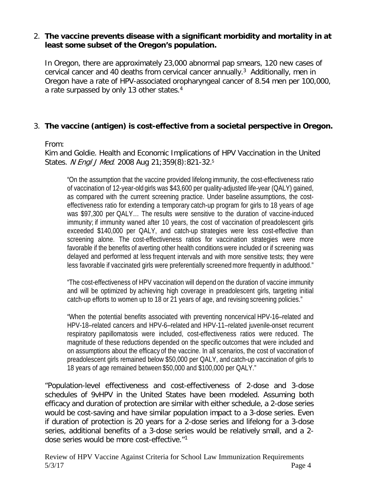#### 2. **The vaccine prevents disease with a significant morbidity and mortality in at least some subset of the Oregon's population.**

In Oregon, there are approximately 23,000 abnormal pap smears, 120 new cases of cervical cancer and 40 deaths from cervical cancer annually. <sup>3</sup> Additionally, men in Oregon have a rate of HPV-associated oropharyngeal cancer of 8.54 men per 100,000, a rate surpassed by only 13 other states.4

#### 3. **The vaccine (antigen) is cost-effective from a societal perspective in Oregon.**

#### From:

Kim and Goldie. Health and Economic Implications of HPV Vaccination in the United States. N Engl J Med. 2008 Aug 21;359(8):821-32.<sup>5</sup>

"On the assumption that the vaccine provided lifelong immunity, the cost-effectiveness ratio of vaccination of 12-year-old girls was \$43,600 per quality-adjusted life-year (QALY) gained, as compared with the current screening practice. Under baseline assumptions, the costeffectiveness ratio for extending a temporary catch-up program for girls to 18 years of age was \$97,300 per QALY… The results were sensitive to the duration of vaccine-induced immunity; if immunity waned after 10 years, the cost of vaccination of preadolescent girls exceeded \$140,000 per QALY, and catch-up strategies were less cost-effective than screening alone. The cost-effectiveness ratios for vaccination strategies were more favorable if the benefits of averting other health conditionswere included or if screening was delayed and performed at less frequent intervals and with more sensitive tests; they were less favorable if vaccinated girls were preferentially screened more frequently in adulthood."

"The cost-effectiveness of HPV vaccination will depend on the duration of vaccine immunity and will be optimized by achieving high coverage in preadolescent girls, targeting initial catch-up efforts to women up to 18 or 21 years of age, and revising screening policies."

"When the potential benefits associated with preventing noncervical HPV-16–related and HPV-18–related cancers and HPV-6–related and HPV-11–related juvenile-onset recurrent respiratory papillomatosis were included, cost-effectiveness ratios were reduced. The magnitude of these reductions depended on the specific outcomes that were included and on assumptions about the efficacy of the vaccine. In all scenarios, the cost of vaccination of preadolescent girls remained below \$50,000 per QALY, and catch-up vaccination of girls to 18 years of age remained between \$50,000 and \$100,000 per QALY."

"Population-level effectiveness and cost-effectiveness of 2-dose and 3-dose schedules of 9vHPV in the United States have been modeled. Assuming both efficacy and duration of protection are similar with either schedule, a 2-dose series would be cost-saving and have similar population impact to a 3-dose series. Even if duration of protection is 20 years for a 2-dose series and lifelong for a 3-dose series, additional benefits of a 3-dose series would be relatively small, and a 2 dose series would be more cost-effective."1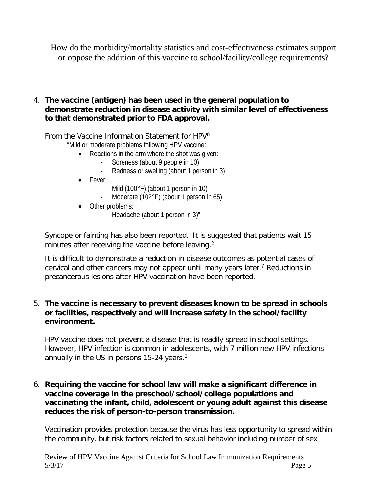How do the morbidity/mortality statistics and cost-effectiveness estimates support or oppose the addition of this vaccine to school/facility/college requirements?

4. **The vaccine (antigen) has been used in the general population to demonstrate reduction in disease activity with similar level of effectiveness to that demonstrated prior to FDA approval.**

#### From the Vaccine Information Statement for HPV6

"Mild or moderate problems following HPV vaccine:

- Reactions in the arm where the shot was given:
	- Soreness (about 9 people in 10)
	- Redness or swelling (about 1 person in 3)
- Fever:
	- Mild (100°F) (about 1 person in 10)
	- Moderate (102°F) (about 1 person in 65)
- Other problems:
	- Headache (about 1 person in 3)"

Syncope or fainting has also been reported. It is suggested that patients wait 15 minutes after receiving the vaccine before leaving.<sup>2</sup>

It is difficult to demonstrate a reduction in disease outcomes as potential cases of cervical and other cancers may not appear until many years later.7 Reductions in precancerous lesions after HPV vaccination have been reported.

#### 5. **The vaccine is necessary to prevent diseases known to be spread in schools or facilities, respectively and will increase safety in the school/facility environment.**

HPV vaccine does not prevent a disease that is readily spread in school settings. However, HPV infection is common in adolescents, with 7 million new HPV infections annually in the US in persons 15-24 years.<sup>2</sup>

#### 6. **Requiring the vaccine for school law will make a significant difference in vaccine coverage in the preschool/school/college populations and vaccinating the infant, child, adolescent or young adult against this disease reduces the risk of person-to-person transmission.**

Vaccination provides protection because the virus has less opportunity to spread within the community, but risk factors related to sexual behavior including number of sex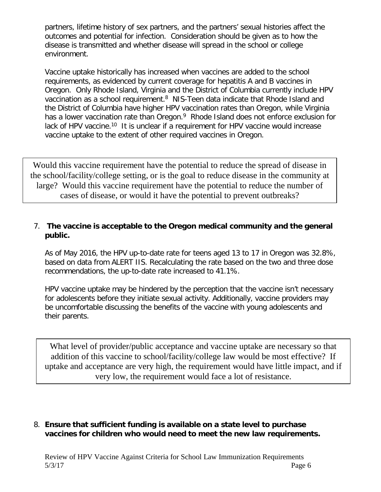partners, lifetime history of sex partners, and the partners' sexual histories affect the outcomes and potential for infection. Consideration should be given as to how the disease is transmitted and whether disease will spread in the school or college environment.

Vaccine uptake historically has increased when vaccines are added to the school requirements, as evidenced by current coverage for hepatitis A and B vaccines in Oregon. Only Rhode Island, Virginia and the District of Columbia currently include HPV vaccination as a school requirement.<sup>8</sup> NIS-Teen data indicate that Rhode Island and the District of Columbia have higher HPV vaccination rates than Oregon, while Virginia has a lower vaccination rate than Oregon.<sup>9</sup> Rhode Island does not enforce exclusion for lack of HPV vaccine.<sup>10</sup> It is unclear if a requirement for HPV vaccine would increase vaccine uptake to the extent of other required vaccines in Oregon.

Would this vaccine requirement have the potential to reduce the spread of disease in the school/facility/college setting, or is the goal to reduce disease in the community at large? Would this vaccine requirement have the potential to reduce the number of cases of disease, or would it have the potential to prevent outbreaks?

#### 7. **The vaccine is acceptable to the Oregon medical community and the general public.**

As of May 2016, the HPV up-to-date rate for teens aged 13 to 17 in Oregon was 32.8%, based on data from ALERT IIS. Recalculating the rate based on the two and three dose recommendations, the up-to-date rate increased to 41.1%.

HPV vaccine uptake may be hindered by the perception that the vaccine isn't necessary for adolescents before they initiate sexual activity. Additionally, vaccine providers may be uncomfortable discussing the benefits of the vaccine with young adolescents and their parents.

What level of provider/public acceptance and vaccine uptake are necessary so that addition of this vaccine to school/facility/college law would be most effective? If uptake and acceptance are very high, the requirement would have little impact, and if very low, the requirement would face a lot of resistance.

#### 8. **Ensure that sufficient funding is available on a state level to purchase vaccines for children who would need to meet the new law requirements.**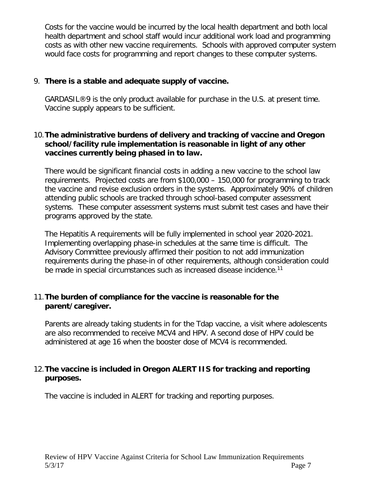Costs for the vaccine would be incurred by the local health department and both local health department and school staff would incur additional work load and programming costs as with other new vaccine requirements. Schools with approved computer system would face costs for programming and report changes to these computer systems.

#### 9. **There is a stable and adequate supply of vaccine.**

GARDASIL®9 is the only product available for purchase in the U.S. at present time. Vaccine supply appears to be sufficient.

#### 10.**The administrative burdens of delivery and tracking of vaccine and Oregon school/facility rule implementation is reasonable in light of any other vaccines currently being phased in to law.**

There would be significant financial costs in adding a new vaccine to the school law requirements. Projected costs are from \$100,000 – 150,000 for programming to track the vaccine and revise exclusion orders in the systems. Approximately 90% of children attending public schools are tracked through school-based computer assessment systems. These computer assessment systems must submit test cases and have their programs approved by the state.

The Hepatitis A requirements will be fully implemented in school year 2020-2021. Implementing overlapping phase-in schedules at the same time is difficult. The Advisory Committee previously affirmed their position to not add immunization requirements during the phase-in of other requirements, although consideration could be made in special circumstances such as increased disease incidence.<sup>11</sup>

#### 11.**The burden of compliance for the vaccine is reasonable for the parent/caregiver.**

Parents are already taking students in for the Tdap vaccine, a visit where adolescents are also recommended to receive MCV4 and HPV. A second dose of HPV could be administered at age 16 when the booster dose of MCV4 is recommended.

#### 12.**The vaccine is included in Oregon ALERT IIS for tracking and reporting purposes.**

The vaccine is included in ALERT for tracking and reporting purposes.